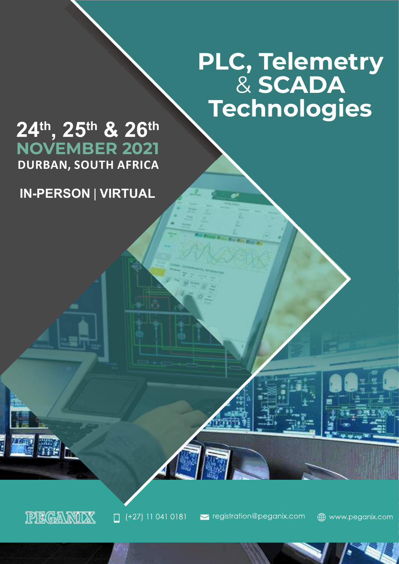# **PLC, Telemetry** & **SCADA Technologies**

# **24th, 25th & 26th DURBAN, SOUTH AFRICA NOVEMBER 2021**

**IN-PERSON** | **VIRTUAL**

PEGANIOX

E ZARAD

 $(+27)$  11 041 0181

september of registration@peganix.com

www.peganix.com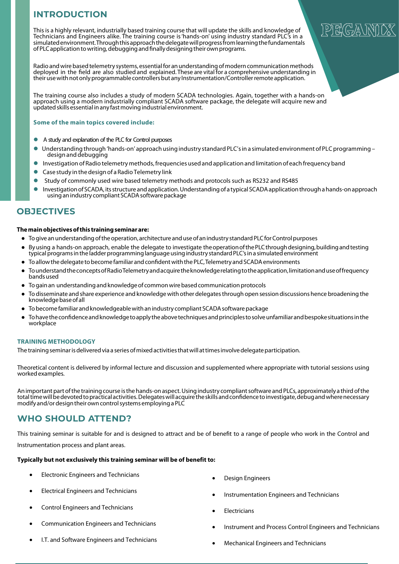# **INTRODUCTION**

Thisis a highly relevant, industrially based training course that will update the skills and knowledge of Technicians and Engineers alike. The training course is'hands-on' using industry standard PLC's in a simulatedenvironment.Throughthisapproachthedelegatewillprogressfromlearningthefundamentals of PLC application to writing, debugging and finally designing their own programs.

Radio and wire based telemetry systems, essential for an understanding of modern communication methods deployed in the field are also studied and explained. These are vital for a comprehensive understanding in their use with not only programmable controllers but any Instrumentation/Controller remote application.

The training course also includes a study of modern SCADA technologies. Again, together with a hands-on approach using a modern industrially compliant SCADA software package, the delegate will acquire new and updatedskillsessential inany fastmovingindustrial environment.

#### **Some of the main topics covered include:**

- A study and explanation of the PLC for Control purposes
- Understanding through 'hands-on' approach using industry standard PLC's in a simulated environment of PLC programming design and debugging
- Investigation of Radio telemetry methods, frequencies used and application and limitation of each frequency band
- Case study in the design of a Radio Telemetry link
- Study of commonly used wire based telemetry methods and protocols such as RS232 and RS485
- Investigation of SCADA, its structure and application. Understanding of a typical SCADA application through a hands-on approach using an industry compliant SCADA software package

## **OBJECTIVES**

#### **Themainobjectivesofthis trainingseminarare:**

- Togiveanunderstandingoftheoperation, architecture anduseof anindustry standardPLCforControlpurposes
- By using a hands-on approach, enable the delegate to investigate the operation of the PLC through designing, building and testing typical programs in the ladder programming language using industry standard PLC's in a simulated environment
- Toallowthedelegate tobecome familiar andconfidentwiththePLC,Telemetry andSCADAenvironments
- To understand the concepts of RadioTelemetry and acquire the knowledge relating to the application, limitation and use of frequency bandsused
- To gain an understanding and knowledge of common wire based communication protocols
- To disseminate and share experience and knowledge with other delegates through open session discussions hence broadening the knowledgebaseof all
- To become familiar and knowledgeable with an industry compliant SCADA software package
- To have the confidence and knowledge to apply the above techniques and principles to solve unfamiliar and bespoke situations in the workplace

#### **TRAINING METHODOLOGY**

The training seminar is delivered via a series of mixed activities that will at times involve delegate participation.

Theoretical content is delivered by informal lecture and discussion and supplemented where appropriate with tutorial sessions using worked examples.

An important part of the training course is the hands-on aspect. Using industry compliant software and PLCs, approximately a third of the totaltimewillbedevotedtopracticalactivities.Delegateswillacquiretheskillsandconfidencetoinvestigate,debugandwherenecessary modify and/or design their own control systems employing a PLC

### **WHO SHOULD ATTEND?**

This training seminar is suitable for and is designed to attract and be of benefit to a range of people who work in the Control and Instrumentation process and plant areas.

**Typically but not exclusively this training seminar will be of benefit to:**

- Electronic Engineers and Technicians
- Electrical Engineers and Technicians
- Control Engineers and Technicians
- Communication Engineers and Technicians
- I.T. and Software Engineers and Technicians
- Design Engineers
- Instrumentation Engineers and Technicians
- **Electricians**
- Instrument and Process Control Engineers and Technicians
- Mechanical Engineers and Technicians

# R(GA)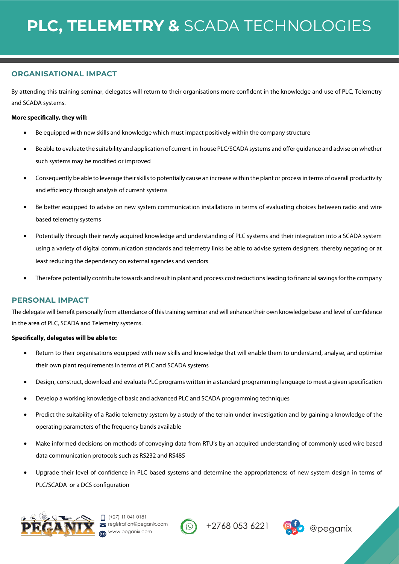### **ORGANISATIONAL IMPACT**

By attending this training seminar, delegates will return to their organisations more confident in the knowledge and use of PLC, Telemetry and SCADA systems.

### **More specifically, they will:**

- Be equipped with new skills and knowledge which must impact positively within the company structure
- Be able to evaluate the suitability and application of current in-house PLC/SCADA systems and offer guidance and advise on whether such systems may be modified or improved
- Consequently be able to leverage their skills to potentially cause an increase within the plant or process in terms of overall productivity and efficiency through analysis of current systems
- Be better equipped to advise on new system communication installations in terms of evaluating choices between radio and wire based telemetry systems
- Potentially through their newly acquired knowledge and understanding of PLC systems and their integration into a SCADA system using a variety of digital communication standards and telemetry links be able to advise system designers, thereby negating or at least reducing the dependency on external agencies and vendors
- Therefore potentially contribute towards and result in plant and process cost reductions leading to financial savings for the company

### **PERSONAL IMPACT**

The delegate will benefit personally from attendance ofthistraining seminar and will enhance their own knowledge base and level of confidence in the area of PLC, SCADA and Telemetry systems.

### **Specifically, delegates will be able to:**

- Return to their organisations equipped with new skills and knowledge that will enable them to understand, analyse, and optimise their own plant requirements in terms of PLC and SCADA systems
- Design, construct, download and evaluate PLC programs written in a standard programming language to meet a given specification
- Develop a working knowledge of basic and advanced PLC and SCADA programming techniques
- Predict the suitability of a Radio telemetry system by a study of the terrain under investigation and by gaining a knowledge of the operating parameters of the frequency bands available
- Make informed decisions on methods of conveying data from RTU's by an acquired understanding of commonly used wire based data communication protocols such as RS232 and RS485
- Upgrade their level of confidence in PLC based systems and determine the appropriateness of new system design in terms of PLC/SCADA or a DCS configuration









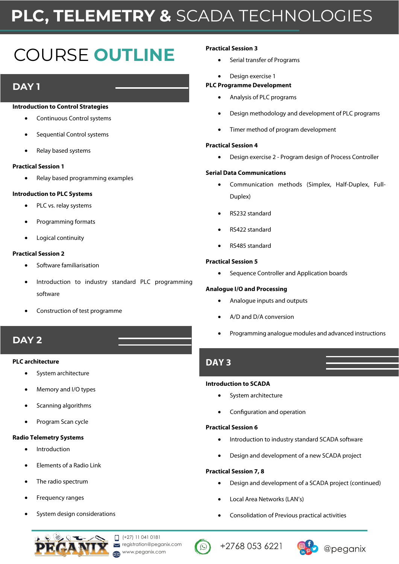# **PLC, TELEMETRY &** SCADA TECHNOLOGIES

# COURSE **OUTLINE**

# **DAY 1**

#### **Introduction to Control Strategies**

- Continuous Control systems
- Sequential Control systems
- Relay based systems

#### **Practical Session 1**

• Relay based programming examples

#### **Introduction to PLC Systems**

- PLC vs. relay systems
- Programming formats
- Logical continuity

#### **Practical Session 2**

- Software familiarisation
- Introduction to industry standard PLC programming software
- Construction of test programme

# **DAY 2**

#### **PLC architecture**

- System architecture
- Memory and I/O types
- Scanning algorithms
- Program Scan cycle

#### **Radio Telemetry Systems**

- **Introduction**
- Elements of a Radio Link
- The radio spectrum
- Frequency ranges
- System design considerations

 $\Box$  (+27) 11 041 0181 registration@peganix.com **WWW.peganix.com** 



#### **Practical Session 3**

- Serial transfer of Programs
- Design exercise 1

#### **PLC Programme Development**

- Analysis of PLC programs
- Design methodology and development of PLC programs
- Timer method of program development

#### **Practical Session 4**

• Design exercise 2 - Program design of Process Controller

#### **Serial Data Communications**

- Communication methods (Simplex, Half-Duplex, Full-Duplex)
- RS232 standard
- RS422 standard
- RS485 standard

#### **Practical Session 5**

• Sequence Controller and Application boards

#### **Analogue I/O and Processing**

- Analogue inputs and outputs
- A/D and D/A conversion
- Programming analogue modules and advanced instructions

## **DAY 3**

#### **Introduction to SCADA**

- System architecture
- Configuration and operation

#### **Practical Session 6**

- Introduction to industry standard SCADA software
- Design and development of a new SCADA project

#### **Practical Session 7, 8**

- Design and development of a SCADA project (continued)
- Local Area Networks (LAN's)
- Consolidation of Previous practical activities

+2768 053 6221